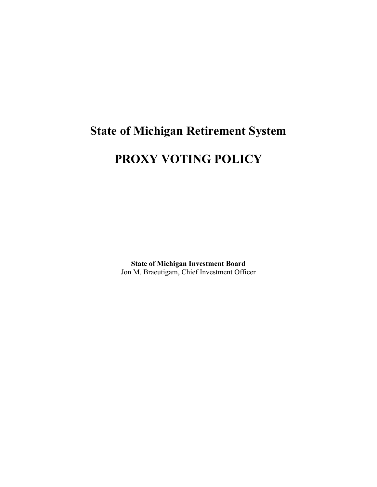# **State of Michigan Retirement System PROXY VOTING POLICY**

**State of Michigan Investment Board** Jon M. Braeutigam, Chief Investment Officer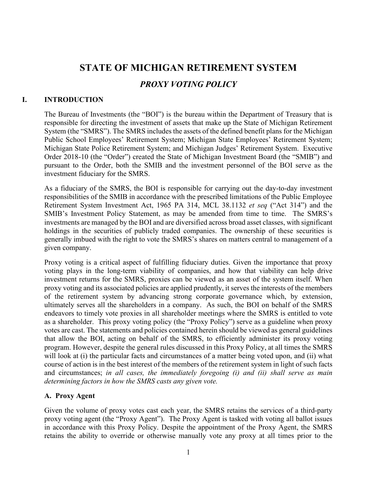# **STATE OF MICHIGAN RETIREMENT SYSTEM** *PROXY VOTING POLICY*

# **I. INTRODUCTION**

The Bureau of Investments (the "BOI") is the bureau within the Department of Treasury that is responsible for directing the investment of assets that make up the State of Michigan Retirement System (the "SMRS"). The SMRS includes the assets of the defined benefit plans for the Michigan Public School Employees' Retirement System; Michigan State Employees' Retirement System; Michigan State Police Retirement System; and Michigan Judges' Retirement System. Executive Order 2018-10 (the "Order") created the State of Michigan Investment Board (the "SMIB") and pursuant to the Order, both the SMIB and the investment personnel of the BOI serve as the investment fiduciary for the SMRS.

As a fiduciary of the SMRS, the BOI is responsible for carrying out the day-to-day investment responsibilities of the SMIB in accordance with the prescribed limitations of the Public Employee Retirement System Investment Act, 1965 PA 314, MCL 38.1132 *et seq* ("Act 314") and the SMIB's Investment Policy Statement, as may be amended from time to time. The SMRS's investments are managed by the BOI and are diversified across broad asset classes, with significant holdings in the securities of publicly traded companies. The ownership of these securities is generally imbued with the right to vote the SMRS's shares on matters central to management of a given company.

Proxy voting is a critical aspect of fulfilling fiduciary duties. Given the importance that proxy voting plays in the long-term viability of companies, and how that viability can help drive investment returns for the SMRS, proxies can be viewed as an asset of the system itself. When proxy voting and its associated policies are applied prudently, it serves the interests of the members of the retirement system by advancing strong corporate governance which, by extension, ultimately serves all the shareholders in a company. As such, the BOI on behalf of the SMRS endeavors to timely vote proxies in all shareholder meetings where the SMRS is entitled to vote as a shareholder. This proxy voting policy (the "Proxy Policy") serve as a guideline when proxy votes are cast. The statements and policies contained herein should be viewed as general guidelines that allow the BOI, acting on behalf of the SMRS, to efficiently administer its proxy voting program. However, despite the general rules discussed in this Proxy Policy, at all times the SMRS will look at (i) the particular facts and circumstances of a matter being voted upon, and (ii) what course of action is in the best interest of the members of the retirement system in light of such facts and circumstances; *in all cases, the immediately foregoing (i) and (ii) shall serve as main determining factors in how the SMRS casts any given vote.*

# **A. Proxy Agent**

Given the volume of proxy votes cast each year, the SMRS retains the services of a third-party proxy voting agent (the "Proxy Agent"). The Proxy Agent is tasked with voting all ballot issues in accordance with this Proxy Policy. Despite the appointment of the Proxy Agent, the SMRS retains the ability to override or otherwise manually vote any proxy at all times prior to the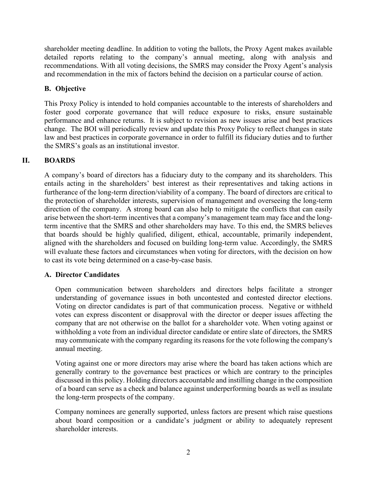shareholder meeting deadline. In addition to voting the ballots, the Proxy Agent makes available detailed reports relating to the company's annual meeting, along with analysis and recommendations. With all voting decisions, the SMRS may consider the Proxy Agent's analysis and recommendation in the mix of factors behind the decision on a particular course of action.

# **B. Objective**

This Proxy Policy is intended to hold companies accountable to the interests of shareholders and foster good corporate governance that will reduce exposure to risks, ensure sustainable performance and enhance returns. It is subject to revision as new issues arise and best practices change. The BOI will periodically review and update this Proxy Policy to reflect changes in state law and best practices in corporate governance in order to fulfill its fiduciary duties and to further the SMRS's goals as an institutional investor.

# **II. BOARDS**

A company's board of directors has a fiduciary duty to the company and its shareholders. This entails acting in the shareholders' best interest as their representatives and taking actions in furtherance of the long-term direction/viability of a company. The board of directors are critical to the protection of shareholder interests, supervision of management and overseeing the long-term direction of the company. A strong board can also help to mitigate the conflicts that can easily arise between the short-term incentives that a company's management team may face and the longterm incentive that the SMRS and other shareholders may have. To this end, the SMRS believes that boards should be highly qualified, diligent, ethical, accountable, primarily independent, aligned with the shareholders and focused on building long-term value. Accordingly, the SMRS will evaluate these factors and circumstances when voting for directors, with the decision on how to cast its vote being determined on a case-by-case basis.

# **A. Director Candidates**

Open communication between shareholders and directors helps facilitate a stronger understanding of governance issues in both uncontested and contested director elections. Voting on director candidates is part of that communication process. Negative or withheld votes can express discontent or disapproval with the director or deeper issues affecting the company that are not otherwise on the ballot for a shareholder vote. When voting against or withholding a vote from an individual director candidate or entire slate of directors, the SMRS may communicate with the company regarding its reasons for the vote following the company's annual meeting.

Voting against one or more directors may arise where the board has taken actions which are generally contrary to the governance best practices or which are contrary to the principles discussed in this policy. Holding directors accountable and instilling change in the composition of a board can serve as a check and balance against underperforming boards as well as insulate the long-term prospects of the company.

Company nominees are generally supported, unless factors are present which raise questions about board composition or a candidate's judgment or ability to adequately represent shareholder interests.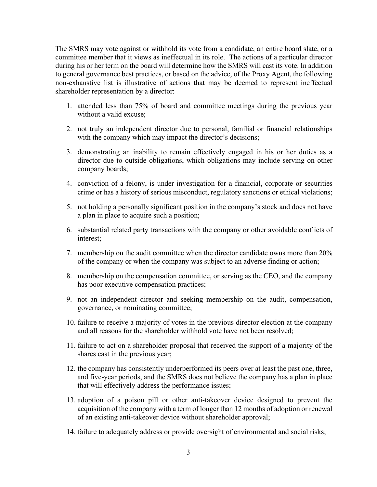The SMRS may vote against or withhold its vote from a candidate, an entire board slate, or a committee member that it views as ineffectual in its role. The actions of a particular director during his or her term on the board will determine how the SMRS will cast its vote. In addition to general governance best practices, or based on the advice, of the Proxy Agent, the following non-exhaustive list is illustrative of actions that may be deemed to represent ineffectual shareholder representation by a director:

- 1. attended less than 75% of board and committee meetings during the previous year without a valid excuse;
- 2. not truly an independent director due to personal, familial or financial relationships with the company which may impact the director's decisions;
- 3. demonstrating an inability to remain effectively engaged in his or her duties as a director due to outside obligations, which obligations may include serving on other company boards;
- 4. conviction of a felony, is under investigation for a financial, corporate or securities crime or has a history of serious misconduct, regulatory sanctions or ethical violations;
- 5. not holding a personally significant position in the company's stock and does not have a plan in place to acquire such a position;
- 6. substantial related party transactions with the company or other avoidable conflicts of interest;
- 7. membership on the audit committee when the director candidate owns more than 20% of the company or when the company was subject to an adverse finding or action;
- 8. membership on the compensation committee, or serving as the CEO, and the company has poor executive compensation practices;
- 9. not an independent director and seeking membership on the audit, compensation, governance, or nominating committee;
- 10. failure to receive a majority of votes in the previous director election at the company and all reasons for the shareholder withhold vote have not been resolved;
- 11. failure to act on a shareholder proposal that received the support of a majority of the shares cast in the previous year;
- 12. the company has consistently underperformed its peers over at least the past one, three, and five-year periods, and the SMRS does not believe the company has a plan in place that will effectively address the performance issues;
- 13. adoption of a poison pill or other anti-takeover device designed to prevent the acquisition of the company with a term of longer than 12 months of adoption or renewal of an existing anti-takeover device without shareholder approval;
- 14. failure to adequately address or provide oversight of environmental and social risks;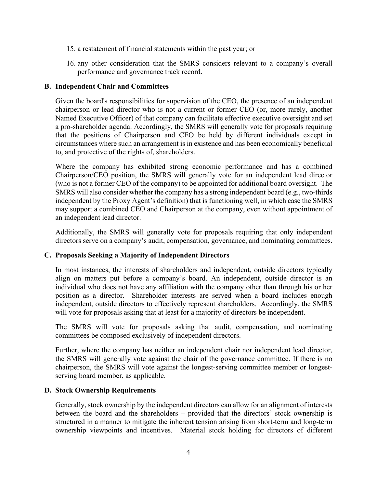- 15. a restatement of financial statements within the past year; or
- 16. any other consideration that the SMRS considers relevant to a company's overall performance and governance track record.

#### **B. Independent Chair and Committees**

Given the board's responsibilities for supervision of the CEO, the presence of an independent chairperson or lead director who is not a current or former CEO (or, more rarely, another Named Executive Officer) of that company can facilitate effective executive oversight and set a pro-shareholder agenda. Accordingly, the SMRS will generally vote for proposals requiring that the positions of Chairperson and CEO be held by different individuals except in circumstances where such an arrangement is in existence and has been economically beneficial to, and protective of the rights of, shareholders.

Where the company has exhibited strong economic performance and has a combined Chairperson/CEO position, the SMRS will generally vote for an independent lead director (who is not a former CEO of the company) to be appointed for additional board oversight. The SMRS will also consider whether the company has a strong independent board (e.g., two-thirds independent by the Proxy Agent's definition) that is functioning well, in which case the SMRS may support a combined CEO and Chairperson at the company, even without appointment of an independent lead director.

Additionally, the SMRS will generally vote for proposals requiring that only independent directors serve on a company's audit, compensation, governance, and nominating committees.

#### **C. Proposals Seeking a Majority of Independent Directors**

In most instances, the interests of shareholders and independent, outside directors typically align on matters put before a company's board. An independent, outside director is an individual who does not have any affiliation with the company other than through his or her position as a director. Shareholder interests are served when a board includes enough independent, outside directors to effectively represent shareholders. Accordingly, the SMRS will vote for proposals asking that at least for a majority of directors be independent.

The SMRS will vote for proposals asking that audit, compensation, and nominating committees be composed exclusively of independent directors.

Further, where the company has neither an independent chair nor independent lead director, the SMRS will generally vote against the chair of the governance committee. If there is no chairperson, the SMRS will vote against the longest-serving committee member or longestserving board member, as applicable.

#### **D. Stock Ownership Requirements**

Generally, stock ownership by the independent directors can allow for an alignment of interests between the board and the shareholders – provided that the directors' stock ownership is structured in a manner to mitigate the inherent tension arising from short-term and long-term ownership viewpoints and incentives. Material stock holding for directors of different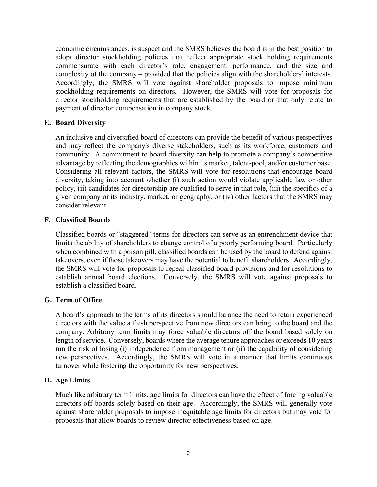economic circumstances, is suspect and the SMRS believes the board is in the best position to adopt director stockholding policies that reflect appropriate stock holding requirements commensurate with each director's role, engagement, performance, and the size and complexity of the company – provided that the policies align with the shareholders' interests. Accordingly, the SMRS will vote against shareholder proposals to impose minimum stockholding requirements on directors. However, the SMRS will vote for proposals for director stockholding requirements that are established by the board or that only relate to payment of director compensation in company stock.

#### **E. Board Diversity**

An inclusive and diversified board of directors can provide the benefit of various perspectives and may reflect the company's diverse stakeholders, such as its workforce, customers and community. A commitment to board diversity can help to promote a company's competitive advantage by reflecting the demographics within its market, talent-pool, and/or customer base. Considering all relevant factors, the SMRS will vote for resolutions that encourage board diversity, taking into account whether (i) such action would violate applicable law or other policy, (ii) candidates for directorship are qualified to serve in that role, (iii) the specifics of a given company or its industry, market, or geography, or (iv) other factors that the SMRS may consider relevant.

#### **F. Classified Boards**

Classified boards or "staggered" terms for directors can serve as an entrenchment device that limits the ability of shareholders to change control of a poorly performing board. Particularly when combined with a poison pill, classified boards can be used by the board to defend against takeovers, even if those takeovers may have the potential to benefit shareholders. Accordingly, the SMRS will vote for proposals to repeal classified board provisions and for resolutions to establish annual board elections. Conversely, the SMRS will vote against proposals to establish a classified board.

#### **G. Term of Office**

A board's approach to the terms of its directors should balance the need to retain experienced directors with the value a fresh perspective from new directors can bring to the board and the company. Arbitrary term limits may force valuable directors off the board based solely on length of service. Conversely, boards where the average tenure approaches or exceeds 10 years run the risk of losing (i) independence from management or (ii) the capability of considering new perspectives. Accordingly, the SMRS will vote in a manner that limits continuous turnover while fostering the opportunity for new perspectives.

# **H. Age Limits**

Much like arbitrary term limits, age limits for directors can have the effect of forcing valuable directors off boards solely based on their age. Accordingly, the SMRS will generally vote against shareholder proposals to impose inequitable age limits for directors but may vote for proposals that allow boards to review director effectiveness based on age.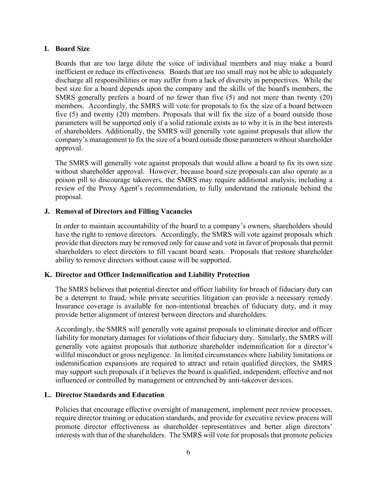#### **I. Board Size**

Boards that are too large dilute the voice of individual members and may make a board inefficient or reduce its effectiveness. Boards that are too small may not be able to adequately discharge all responsibilities or may suffer from a lack of diversity in perspectives. While the best size for a board depends upon the company and the skills of the board's members, the SMRS generally prefers a board of no fewer than five (5) and not more than twenty (20) members. Accordingly, the SMRS will vote for proposals to fix the size of a board between five (5) and twenty (20) members. Proposals that will fix the size of a board outside those parameters will be supported only if a solid rationale exists as to why it is in the best interests of shareholders. Additionally, the SMRS will generally vote against proposals that allow the company's management to fix the size of a board outside those parameters without shareholder approval.

The SMRS will generally vote against proposals that would allow a board to fix its own size without shareholder approval. However, because board size proposals can also operate as a poison pill to discourage takeovers, the SMRS may require additional analysis, including a review of the Proxy Agent's recommendation, to fully understand the rationale behind the proposal.

# **J. Removal of Directors and Filling Vacancies**

In order to maintain accountability of the board to a company's owners, shareholders should have the right to remove directors. Accordingly, the SMRS will vote against proposals which provide that directors may be removed only for cause and vote in favor of proposals that permit shareholders to elect directors to fill vacant board seats. Proposals that restore shareholder ability to remove directors without cause will be supported.

# **K. Director and Officer Indemnification and Liability Protection**

The SMRS believes that potential director and officer liability for breach of fiduciary duty can be a deterrent to fraud, while private securities litigation can provide a necessary remedy. Insurance coverage is available for non-intentional breaches of fiduciary duty, and it may provide better alignment of interest between directors and shareholders.

Accordingly, the SMRS will generally vote against proposals to eliminate director and officer liability for monetary damages for violations of their fiduciary duty. Similarly, the SMRS will generally vote against proposals that authorize shareholder indemnification for a director's willful misconduct or gross negligence. In limited circumstances where liability limitations or indemnification expansions are required to attract and retain qualified directors, the SMRS may support such proposals if it believes the board is qualified, independent, effective and not influenced or controlled by management or entrenched by anti-takeover devices.

# **L. Director Standards and Education**

Policies that encourage effective oversight of management, implement peer review processes, require director training or education standards, and provide for executive review process will promote director effectiveness as shareholder representatives and better align directors' interests with that of the shareholders. The SMRS will vote for proposals that promote policies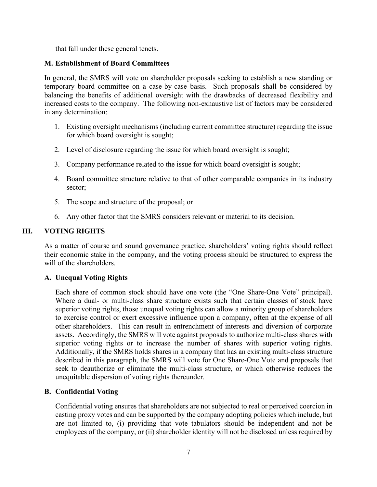that fall under these general tenets.

#### **M. Establishment of Board Committees**

In general, the SMRS will vote on shareholder proposals seeking to establish a new standing or temporary board committee on a case-by-case basis. Such proposals shall be considered by balancing the benefits of additional oversight with the drawbacks of decreased flexibility and increased costs to the company. The following non-exhaustive list of factors may be considered in any determination:

- 1. Existing oversight mechanisms (including current committee structure) regarding the issue for which board oversight is sought;
- 2. Level of disclosure regarding the issue for which board oversight is sought;
- 3. Company performance related to the issue for which board oversight is sought;
- 4. Board committee structure relative to that of other comparable companies in its industry sector;
- 5. The scope and structure of the proposal; or
- 6. Any other factor that the SMRS considers relevant or material to its decision.

# **III. VOTING RIGHTS**

As a matter of course and sound governance practice, shareholders' voting rights should reflect their economic stake in the company, and the voting process should be structured to express the will of the shareholders.

# **A. Unequal Voting Rights**

Each share of common stock should have one vote (the "One Share-One Vote" principal). Where a dual- or multi-class share structure exists such that certain classes of stock have superior voting rights, those unequal voting rights can allow a minority group of shareholders to exercise control or exert excessive influence upon a company, often at the expense of all other shareholders. This can result in entrenchment of interests and diversion of corporate assets. Accordingly, the SMRS will vote against proposals to authorize multi-class shares with superior voting rights or to increase the number of shares with superior voting rights. Additionally, if the SMRS holds shares in a company that has an existing multi-class structure described in this paragraph, the SMRS will vote for One Share-One Vote and proposals that seek to deauthorize or eliminate the multi-class structure, or which otherwise reduces the unequitable dispersion of voting rights thereunder.

#### **B. Confidential Voting**

Confidential voting ensures that shareholders are not subjected to real or perceived coercion in casting proxy votes and can be supported by the company adopting policies which include, but are not limited to, (i) providing that vote tabulators should be independent and not be employees of the company, or (ii) shareholder identity will not be disclosed unless required by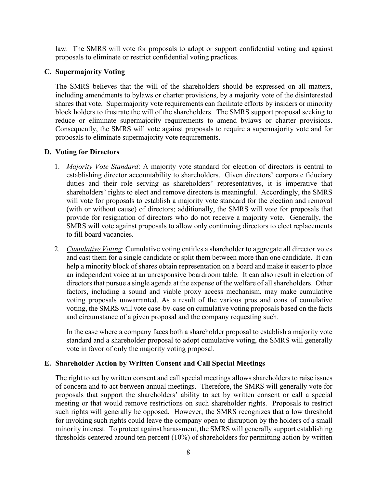law. The SMRS will vote for proposals to adopt or support confidential voting and against proposals to eliminate or restrict confidential voting practices.

#### **C. Supermajority Voting**

The SMRS believes that the will of the shareholders should be expressed on all matters, including amendments to bylaws or charter provisions, by a majority vote of the disinterested shares that vote. Supermajority vote requirements can facilitate efforts by insiders or minority block holders to frustrate the will of the shareholders. The SMRS support proposal seeking to reduce or eliminate supermajority requirements to amend bylaws or charter provisions. Consequently, the SMRS will vote against proposals to require a supermajority vote and for proposals to eliminate supermajority vote requirements.

#### **D. Voting for Directors**

- 1. *Majority Vote Standard*: A majority vote standard for election of directors is central to establishing director accountability to shareholders. Given directors' corporate fiduciary duties and their role serving as shareholders' representatives, it is imperative that shareholders' rights to elect and remove directors is meaningful. Accordingly, the SMRS will vote for proposals to establish a majority vote standard for the election and removal (with or without cause) of directors; additionally, the SMRS will vote for proposals that provide for resignation of directors who do not receive a majority vote. Generally, the SMRS will vote against proposals to allow only continuing directors to elect replacements to fill board vacancies.
- 2. *Cumulative Voting*: Cumulative voting entitles a shareholder to aggregate all director votes and cast them for a single candidate or split them between more than one candidate. It can help a minority block of shares obtain representation on a board and make it easier to place an independent voice at an unresponsive boardroom table. It can also result in election of directors that pursue a single agenda at the expense of the welfare of all shareholders. Other factors, including a sound and viable proxy access mechanism, may make cumulative voting proposals unwarranted. As a result of the various pros and cons of cumulative voting, the SMRS will vote case-by-case on cumulative voting proposals based on the facts and circumstance of a given proposal and the company requesting such.

In the case where a company faces both a shareholder proposal to establish a majority vote standard and a shareholder proposal to adopt cumulative voting, the SMRS will generally vote in favor of only the majority voting proposal.

#### **E. Shareholder Action by Written Consent and Call Special Meetings**

The right to act by written consent and call special meetings allows shareholders to raise issues of concern and to act between annual meetings. Therefore, the SMRS will generally vote for proposals that support the shareholders' ability to act by written consent or call a special meeting or that would remove restrictions on such shareholder rights. Proposals to restrict such rights will generally be opposed. However, the SMRS recognizes that a low threshold for invoking such rights could leave the company open to disruption by the holders of a small minority interest. To protect against harassment, the SMRS will generally support establishing thresholds centered around ten percent (10%) of shareholders for permitting action by written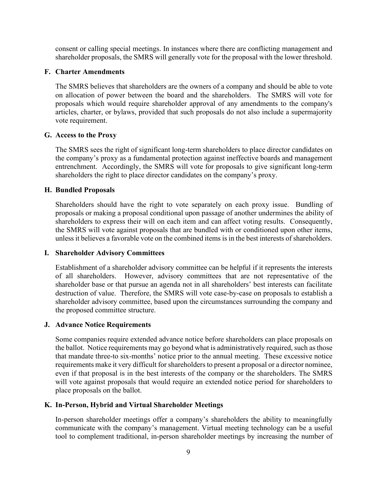consent or calling special meetings. In instances where there are conflicting management and shareholder proposals, the SMRS will generally vote for the proposal with the lower threshold.

#### **F. Charter Amendments**

The SMRS believes that shareholders are the owners of a company and should be able to vote on allocation of power between the board and the shareholders. The SMRS will vote for proposals which would require shareholder approval of any amendments to the company's articles, charter, or bylaws, provided that such proposals do not also include a supermajority vote requirement.

#### **G. Access to the Proxy**

The SMRS sees the right of significant long-term shareholders to place director candidates on the company's proxy as a fundamental protection against ineffective boards and management entrenchment. Accordingly, the SMRS will vote for proposals to give significant long-term shareholders the right to place director candidates on the company's proxy.

#### **H. Bundled Proposals**

Shareholders should have the right to vote separately on each proxy issue. Bundling of proposals or making a proposal conditional upon passage of another undermines the ability of shareholders to express their will on each item and can affect voting results. Consequently, the SMRS will vote against proposals that are bundled with or conditioned upon other items, unless it believes a favorable vote on the combined items is in the best interests of shareholders.

#### **I. Shareholder Advisory Committees**

Establishment of a shareholder advisory committee can be helpful if it represents the interests of all shareholders. However, advisory committees that are not representative of the shareholder base or that pursue an agenda not in all shareholders' best interests can facilitate destruction of value. Therefore, the SMRS will vote case-by-case on proposals to establish a shareholder advisory committee, based upon the circumstances surrounding the company and the proposed committee structure.

#### **J. Advance Notice Requirements**

Some companies require extended advance notice before shareholders can place proposals on the ballot. Notice requirements may go beyond what is administratively required, such as those that mandate three-to six-months' notice prior to the annual meeting. These excessive notice requirements make it very difficult for shareholders to present a proposal or a director nominee, even if that proposal is in the best interests of the company or the shareholders. The SMRS will vote against proposals that would require an extended notice period for shareholders to place proposals on the ballot.

# **K. In-Person, Hybrid and Virtual Shareholder Meetings**

In-person shareholder meetings offer a company's shareholders the ability to meaningfully communicate with the company's management. Virtual meeting technology can be a useful tool to complement traditional, in-person shareholder meetings by increasing the number of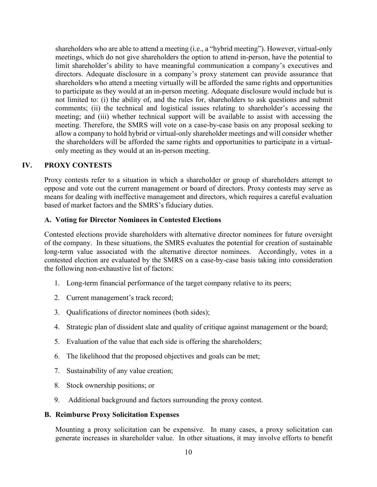shareholders who are able to attend a meeting (i.e., a "hybrid meeting"). However, virtual-only meetings, which do not give shareholders the option to attend in-person, have the potential to limit shareholder's ability to have meaningful communication a company's executives and directors. Adequate disclosure in a company's proxy statement can provide assurance that shareholders who attend a meeting virtually will be afforded the same rights and opportunities to participate as they would at an in-person meeting. Adequate disclosure would include but is not limited to: (i) the ability of, and the rules for, shareholders to ask questions and submit comments; (ii) the technical and logistical issues relating to shareholder's accessing the meeting; and (iii) whether technical support will be available to assist with accessing the meeting. Therefore, the SMRS will vote on a case-by-case basis on any proposal seeking to allow a company to hold hybrid or virtual-only shareholder meetings and will consider whether the shareholders will be afforded the same rights and opportunities to participate in a virtualonly meeting as they would at an in-person meeting.

#### **IV. PROXY CONTESTS**

Proxy contests refer to a situation in which a shareholder or group of shareholders attempt to oppose and vote out the current management or board of directors. Proxy contests may serve as means for dealing with ineffective management and directors, which requires a careful evaluation based of market factors and the SMRS's fiduciary duties.

# **A. Voting for Director Nominees in Contested Elections**

Contested elections provide shareholders with alternative director nominees for future oversight of the company. In these situations, the SMRS evaluates the potential for creation of sustainable long-term value associated with the alternative director nominees. Accordingly, votes in a contested election are evaluated by the SMRS on a case-by-case basis taking into consideration the following non-exhaustive list of factors:

- 1. Long-term financial performance of the target company relative to its peers;
- 2. Current management's track record;
- 3. Qualifications of director nominees (both sides);
- 4. Strategic plan of dissident slate and quality of critique against management or the board;
- 5. Evaluation of the value that each side is offering the shareholders;
- 6. The likelihood that the proposed objectives and goals can be met;
- 7. Sustainability of any value creation;
- 8. Stock ownership positions; or
- 9. Additional background and factors surrounding the proxy contest.

#### **B. Reimburse Proxy Solicitation Expenses**

Mounting a proxy solicitation can be expensive. In many cases, a proxy solicitation can generate increases in shareholder value. In other situations, it may involve efforts to benefit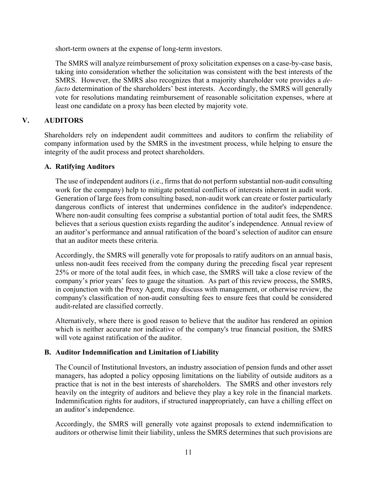short-term owners at the expense of long-term investors.

The SMRS will analyze reimbursement of proxy solicitation expenses on a case-by-case basis, taking into consideration whether the solicitation was consistent with the best interests of the SMRS. However, the SMRS also recognizes that a majority shareholder vote provides a *defacto* determination of the shareholders' best interests. Accordingly, the SMRS will generally vote for resolutions mandating reimbursement of reasonable solicitation expenses, where at least one candidate on a proxy has been elected by majority vote.

# **V. AUDITORS**

Shareholders rely on independent audit committees and auditors to confirm the reliability of company information used by the SMRS in the investment process, while helping to ensure the integrity of the audit process and protect shareholders.

# **A. Ratifying Auditors**

The use of independent auditors(i.e., firms that do not perform substantial non-audit consulting work for the company) help to mitigate potential conflicts of interests inherent in audit work. Generation of large fees from consulting based, non-audit work can create or foster particularly dangerous conflicts of interest that undermines confidence in the auditor's independence. Where non-audit consulting fees comprise a substantial portion of total audit fees, the SMRS believes that a serious question exists regarding the auditor's independence. Annual review of an auditor's performance and annual ratification of the board's selection of auditor can ensure that an auditor meets these criteria.

Accordingly, the SMRS will generally vote for proposals to ratify auditors on an annual basis, unless non-audit fees received from the company during the preceding fiscal year represent 25% or more of the total audit fees, in which case, the SMRS will take a close review of the company's prior years' fees to gauge the situation. As part of this review process, the SMRS, in conjunction with the Proxy Agent, may discuss with management, or otherwise review, the company's classification of non-audit consulting fees to ensure fees that could be considered audit-related are classified correctly.

Alternatively, where there is good reason to believe that the auditor has rendered an opinion which is neither accurate nor indicative of the company's true financial position, the SMRS will vote against ratification of the auditor.

# **B. Auditor Indemnification and Limitation of Liability**

The Council of Institutional Investors, an industry association of pension funds and other asset managers, has adopted a policy opposing limitations on the liability of outside auditors as a practice that is not in the best interests of shareholders. The SMRS and other investors rely heavily on the integrity of auditors and believe they play a key role in the financial markets. Indemnification rights for auditors, if structured inappropriately, can have a chilling effect on an auditor's independence.

Accordingly, the SMRS will generally vote against proposals to extend indemnification to auditors or otherwise limit their liability, unless the SMRS determines that such provisions are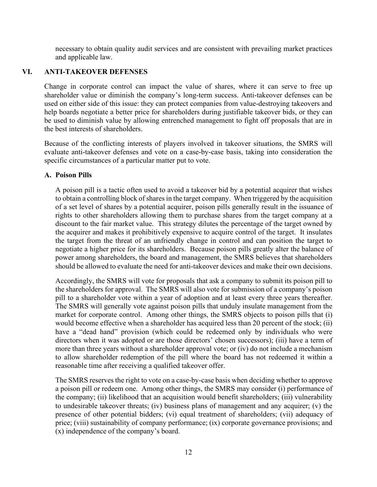necessary to obtain quality audit services and are consistent with prevailing market practices and applicable law.

# **VI. ANTI-TAKEOVER DEFENSES**

Change in corporate control can impact the value of shares, where it can serve to free up shareholder value or diminish the company's long-term success. Anti-takeover defenses can be used on either side of this issue: they can protect companies from value-destroying takeovers and help boards negotiate a better price for shareholders during justifiable takeover bids, or they can be used to diminish value by allowing entrenched management to fight off proposals that are in the best interests of shareholders.

Because of the conflicting interests of players involved in takeover situations, the SMRS will evaluate anti-takeover defenses and vote on a case-by-case basis, taking into consideration the specific circumstances of a particular matter put to vote.

#### **A. Poison Pills**

A poison pill is a tactic often used to avoid a takeover bid by a potential acquirer that wishes to obtain a controlling block of shares in the target company. When triggered by the acquisition of a set level of shares by a potential acquirer, poison pills generally result in the issuance of rights to other shareholders allowing them to purchase shares from the target company at a discount to the fair market value. This strategy dilutes the percentage of the target owned by the acquirer and makes it prohibitively expensive to acquire control of the target. It insulates the target from the threat of an unfriendly change in control and can position the target to negotiate a higher price for its shareholders. Because poison pills greatly alter the balance of power among shareholders, the board and management, the SMRS believes that shareholders should be allowed to evaluate the need for anti-takeover devices and make their own decisions.

Accordingly, the SMRS will vote for proposals that ask a company to submit its poison pill to the shareholders for approval. The SMRS will also vote for submission of a company's poison pill to a shareholder vote within a year of adoption and at least every three years thereafter. The SMRS will generally vote against poison pills that unduly insulate management from the market for corporate control. Among other things, the SMRS objects to poison pills that (i) would become effective when a shareholder has acquired less than 20 percent of the stock; (ii) have a "dead hand" provision (which could be redeemed only by individuals who were directors when it was adopted or are those directors' chosen successors); (iii) have a term of more than three years without a shareholder approval vote; or (iv) do not include a mechanism to allow shareholder redemption of the pill where the board has not redeemed it within a reasonable time after receiving a qualified takeover offer.

The SMRS reserves the right to vote on a case-by-case basis when deciding whether to approve a poison pill or redeem one. Among other things, the SMRS may consider (i) performance of the company; (ii) likelihood that an acquisition would benefit shareholders; (iii) vulnerability to undesirable takeover threats; (iv) business plans of management and any acquirer; (v) the presence of other potential bidders; (vi) equal treatment of shareholders; (vii) adequacy of price; (viii) sustainability of company performance; (ix) corporate governance provisions; and (x) independence of the company's board.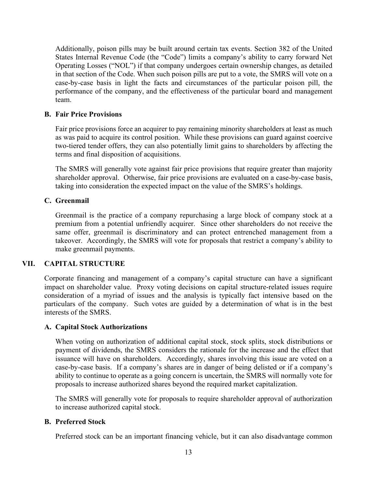Additionally, poison pills may be built around certain tax events. Section 382 of the United States Internal Revenue Code (the "Code") limits a company's ability to carry forward Net Operating Losses ("NOL") if that company undergoes certain ownership changes, as detailed in that section of the Code. When such poison pills are put to a vote, the SMRS will vote on a case-by-case basis in light the facts and circumstances of the particular poison pill, the performance of the company, and the effectiveness of the particular board and management team.

#### **B. Fair Price Provisions**

Fair price provisions force an acquirer to pay remaining minority shareholders at least as much as was paid to acquire its control position. While these provisions can guard against coercive two-tiered tender offers, they can also potentially limit gains to shareholders by affecting the terms and final disposition of acquisitions.

The SMRS will generally vote against fair price provisions that require greater than majority shareholder approval. Otherwise, fair price provisions are evaluated on a case-by-case basis, taking into consideration the expected impact on the value of the SMRS's holdings.

#### **C. Greenmail**

Greenmail is the practice of a company repurchasing a large block of company stock at a premium from a potential unfriendly acquirer. Since other shareholders do not receive the same offer, greenmail is discriminatory and can protect entrenched management from a takeover. Accordingly, the SMRS will vote for proposals that restrict a company's ability to make greenmail payments.

# **VII. CAPITAL STRUCTURE**

Corporate financing and management of a company's capital structure can have a significant impact on shareholder value. Proxy voting decisions on capital structure-related issues require consideration of a myriad of issues and the analysis is typically fact intensive based on the particulars of the company. Such votes are guided by a determination of what is in the best interests of the SMRS.

#### **A. Capital Stock Authorizations**

When voting on authorization of additional capital stock, stock splits, stock distributions or payment of dividends, the SMRS considers the rationale for the increase and the effect that issuance will have on shareholders. Accordingly, shares involving this issue are voted on a case-by-case basis. If a company's shares are in danger of being delisted or if a company's ability to continue to operate as a going concern is uncertain, the SMRS will normally vote for proposals to increase authorized shares beyond the required market capitalization.

The SMRS will generally vote for proposals to require shareholder approval of authorization to increase authorized capital stock.

#### **B. Preferred Stock**

Preferred stock can be an important financing vehicle, but it can also disadvantage common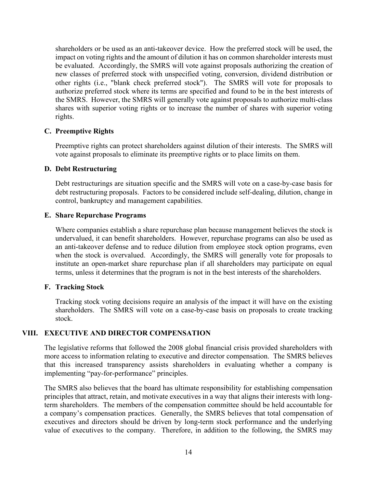shareholders or be used as an anti-takeover device. How the preferred stock will be used, the impact on voting rights and the amount of dilution it has on common shareholder interests must be evaluated. Accordingly, the SMRS will vote against proposals authorizing the creation of new classes of preferred stock with unspecified voting, conversion, dividend distribution or other rights (i.e., "blank check preferred stock"). The SMRS will vote for proposals to authorize preferred stock where its terms are specified and found to be in the best interests of the SMRS. However, the SMRS will generally vote against proposals to authorize multi-class shares with superior voting rights or to increase the number of shares with superior voting rights.

#### **C. Preemptive Rights**

Preemptive rights can protect shareholders against dilution of their interests. The SMRS will vote against proposals to eliminate its preemptive rights or to place limits on them.

#### **D. Debt Restructuring**

Debt restructurings are situation specific and the SMRS will vote on a case-by-case basis for debt restructuring proposals. Factors to be considered include self-dealing, dilution, change in control, bankruptcy and management capabilities.

#### **E. Share Repurchase Programs**

Where companies establish a share repurchase plan because management believes the stock is undervalued, it can benefit shareholders. However, repurchase programs can also be used as an anti-takeover defense and to reduce dilution from employee stock option programs, even when the stock is overvalued. Accordingly, the SMRS will generally vote for proposals to institute an open-market share repurchase plan if all shareholders may participate on equal terms, unless it determines that the program is not in the best interests of the shareholders.

#### **F. Tracking Stock**

Tracking stock voting decisions require an analysis of the impact it will have on the existing shareholders. The SMRS will vote on a case-by-case basis on proposals to create tracking stock.

#### **VIII. EXECUTIVE AND DIRECTOR COMPENSATION**

The legislative reforms that followed the 2008 global financial crisis provided shareholders with more access to information relating to executive and director compensation. The SMRS believes that this increased transparency assists shareholders in evaluating whether a company is implementing "pay-for-performance" principles.

The SMRS also believes that the board has ultimate responsibility for establishing compensation principles that attract, retain, and motivate executives in a way that aligns their interests with longterm shareholders. The members of the compensation committee should be held accountable for a company's compensation practices. Generally, the SMRS believes that total compensation of executives and directors should be driven by long-term stock performance and the underlying value of executives to the company. Therefore, in addition to the following, the SMRS may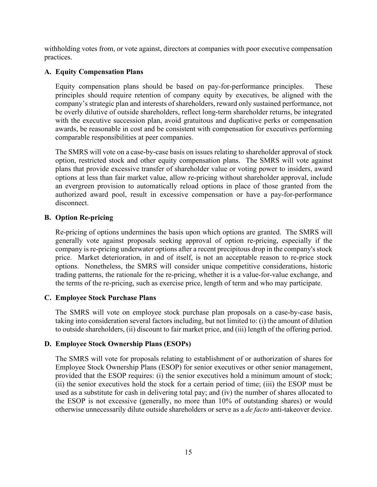withholding votes from, or vote against, directors at companies with poor executive compensation practices.

# **A. Equity Compensation Plans**

Equity compensation plans should be based on pay-for-performance principles. These principles should require retention of company equity by executives, be aligned with the company's strategic plan and interests of shareholders, reward only sustained performance, not be overly dilutive of outside shareholders, reflect long-term shareholder returns, be integrated with the executive succession plan, avoid gratuitous and duplicative perks or compensation awards, be reasonable in cost and be consistent with compensation for executives performing comparable responsibilities at peer companies.

The SMRS will vote on a case-by-case basis on issues relating to shareholder approval of stock option, restricted stock and other equity compensation plans. The SMRS will vote against plans that provide excessive transfer of shareholder value or voting power to insiders, award options at less than fair market value, allow re-pricing without shareholder approval, include an evergreen provision to automatically reload options in place of those granted from the authorized award pool, result in excessive compensation or have a pay-for-performance disconnect.

#### **B. Option Re-pricing**

Re-pricing of options undermines the basis upon which options are granted. The SMRS will generally vote against proposals seeking approval of option re-pricing, especially if the company is re-pricing underwater options after a recent precipitous drop in the company's stock price. Market deterioration, in and of itself, is not an acceptable reason to re-price stock options. Nonetheless, the SMRS will consider unique competitive considerations, historic trading patterns, the rationale for the re-pricing, whether it is a value-for-value exchange, and the terms of the re-pricing, such as exercise price, length of term and who may participate.

#### **C. Employee Stock Purchase Plans**

The SMRS will vote on employee stock purchase plan proposals on a case-by-case basis, taking into consideration several factors including, but not limited to: (i) the amount of dilution to outside shareholders, (ii) discount to fair market price, and (iii) length of the offering period.

# **D. Employee Stock Ownership Plans (ESOPs)**

The SMRS will vote for proposals relating to establishment of or authorization of shares for Employee Stock Ownership Plans (ESOP) for senior executives or other senior management, provided that the ESOP requires: (i) the senior executives hold a minimum amount of stock; (ii) the senior executives hold the stock for a certain period of time; (iii) the ESOP must be used as a substitute for cash in delivering total pay; and (iv) the number of shares allocated to the ESOP is not excessive (generally, no more than 10% of outstanding shares) or would otherwise unnecessarily dilute outside shareholders or serve as a *de facto* anti-takeover device.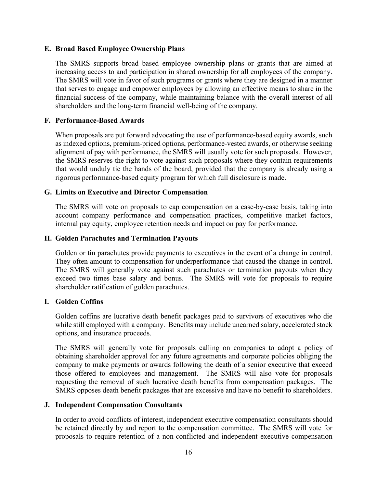#### **E. Broad Based Employee Ownership Plans**

The SMRS supports broad based employee ownership plans or grants that are aimed at increasing access to and participation in shared ownership for all employees of the company. The SMRS will vote in favor of such programs or grants where they are designed in a manner that serves to engage and empower employees by allowing an effective means to share in the financial success of the company, while maintaining balance with the overall interest of all shareholders and the long-term financial well-being of the company.

#### **F. Performance-Based Awards**

When proposals are put forward advocating the use of performance-based equity awards, such as indexed options, premium-priced options, performance-vested awards, or otherwise seeking alignment of pay with performance, the SMRS will usually vote for such proposals. However, the SMRS reserves the right to vote against such proposals where they contain requirements that would unduly tie the hands of the board, provided that the company is already using a rigorous performance-based equity program for which full disclosure is made.

#### **G. Limits on Executive and Director Compensation**

The SMRS will vote on proposals to cap compensation on a case-by-case basis, taking into account company performance and compensation practices, competitive market factors, internal pay equity, employee retention needs and impact on pay for performance.

#### **H. Golden Parachutes and Termination Payouts**

Golden or tin parachutes provide payments to executives in the event of a change in control. They often amount to compensation for underperformance that caused the change in control. The SMRS will generally vote against such parachutes or termination payouts when they exceed two times base salary and bonus. The SMRS will vote for proposals to require shareholder ratification of golden parachutes.

#### **I. Golden Coffins**

Golden coffins are lucrative death benefit packages paid to survivors of executives who die while still employed with a company. Benefits may include unearned salary, accelerated stock options, and insurance proceeds.

The SMRS will generally vote for proposals calling on companies to adopt a policy of obtaining shareholder approval for any future agreements and corporate policies obliging the company to make payments or awards following the death of a senior executive that exceed those offered to employees and management. The SMRS will also vote for proposals requesting the removal of such lucrative death benefits from compensation packages. The SMRS opposes death benefit packages that are excessive and have no benefit to shareholders.

#### **J. Independent Compensation Consultants**

In order to avoid conflicts of interest, independent executive compensation consultants should be retained directly by and report to the compensation committee. The SMRS will vote for proposals to require retention of a non-conflicted and independent executive compensation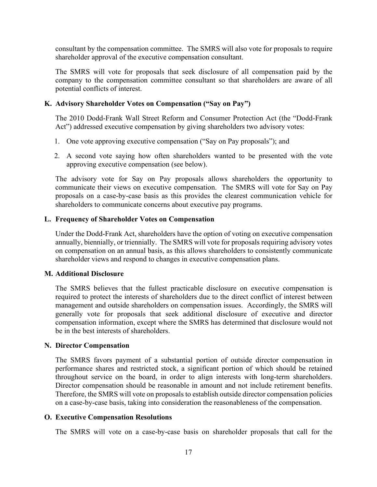consultant by the compensation committee. The SMRS will also vote for proposals to require shareholder approval of the executive compensation consultant.

The SMRS will vote for proposals that seek disclosure of all compensation paid by the company to the compensation committee consultant so that shareholders are aware of all potential conflicts of interest.

# **K. Advisory Shareholder Votes on Compensation ("Say on Pay")**

The 2010 Dodd-Frank Wall Street Reform and Consumer Protection Act (the "Dodd-Frank Act") addressed executive compensation by giving shareholders two advisory votes:

- 1. One vote approving executive compensation ("Say on Pay proposals"); and
- 2. A second vote saying how often shareholders wanted to be presented with the vote approving executive compensation (see below).

The advisory vote for Say on Pay proposals allows shareholders the opportunity to communicate their views on executive compensation. The SMRS will vote for Say on Pay proposals on a case-by-case basis as this provides the clearest communication vehicle for shareholders to communicate concerns about executive pay programs.

#### **L. Frequency of Shareholder Votes on Compensation**

Under the Dodd-Frank Act, shareholders have the option of voting on executive compensation annually, biennially, or triennially. The SMRS will vote for proposals requiring advisory votes on compensation on an annual basis, as this allows shareholders to consistently communicate shareholder views and respond to changes in executive compensation plans.

#### **M. Additional Disclosure**

The SMRS believes that the fullest practicable disclosure on executive compensation is required to protect the interests of shareholders due to the direct conflict of interest between management and outside shareholders on compensation issues. Accordingly, the SMRS will generally vote for proposals that seek additional disclosure of executive and director compensation information, except where the SMRS has determined that disclosure would not be in the best interests of shareholders.

#### **N. Director Compensation**

The SMRS favors payment of a substantial portion of outside director compensation in performance shares and restricted stock, a significant portion of which should be retained throughout service on the board, in order to align interests with long-term shareholders. Director compensation should be reasonable in amount and not include retirement benefits. Therefore, the SMRS will vote on proposals to establish outside director compensation policies on a case-by-case basis, taking into consideration the reasonableness of the compensation.

# **O. Executive Compensation Resolutions**

The SMRS will vote on a case-by-case basis on shareholder proposals that call for the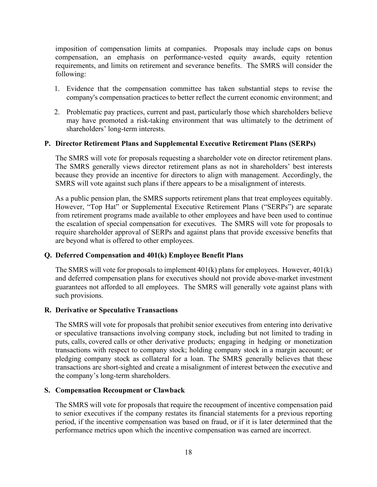imposition of compensation limits at companies. Proposals may include caps on bonus compensation, an emphasis on performance-vested equity awards, equity retention requirements, and limits on retirement and severance benefits. The SMRS will consider the following:

- 1. Evidence that the compensation committee has taken substantial steps to revise the company's compensation practices to better reflect the current economic environment; and
- 2. Problematic pay practices, current and past, particularly those which shareholders believe may have promoted a risk-taking environment that was ultimately to the detriment of shareholders' long-term interests.

#### **P. Director Retirement Plans and Supplemental Executive Retirement Plans (SERPs)**

The SMRS will vote for proposals requesting a shareholder vote on director retirement plans. The SMRS generally views director retirement plans as not in shareholders' best interests because they provide an incentive for directors to align with management. Accordingly, the SMRS will vote against such plans if there appears to be a misalignment of interests.

As a public pension plan, the SMRS supports retirement plans that treat employees equitably. However, "Top Hat" or Supplemental Executive Retirement Plans ("SERPs") are separate from retirement programs made available to other employees and have been used to continue the escalation of special compensation for executives. The SMRS will vote for proposals to require shareholder approval of SERPs and against plans that provide excessive benefits that are beyond what is offered to other employees.

#### **Q. Deferred Compensation and 401(k) Employee Benefit Plans**

The SMRS will vote for proposals to implement 401(k) plans for employees. However, 401(k) and deferred compensation plans for executives should not provide above-market investment guarantees not afforded to all employees. The SMRS will generally vote against plans with such provisions.

#### **R. Derivative or Speculative Transactions**

The SMRS will vote for proposals that prohibit senior executives from entering into derivative or speculative transactions involving company stock, including but not limited to trading in puts, calls, covered calls or other derivative products; engaging in hedging or monetization transactions with respect to company stock; holding company stock in a margin account; or pledging company stock as collateral for a loan. The SMRS generally believes that these transactions are short-sighted and create a misalignment of interest between the executive and the company's long-term shareholders.

#### **S. Compensation Recoupment or Clawback**

The SMRS will vote for proposals that require the recoupment of incentive compensation paid to senior executives if the company restates its financial statements for a previous reporting period, if the incentive compensation was based on fraud, or if it is later determined that the performance metrics upon which the incentive compensation was earned are incorrect.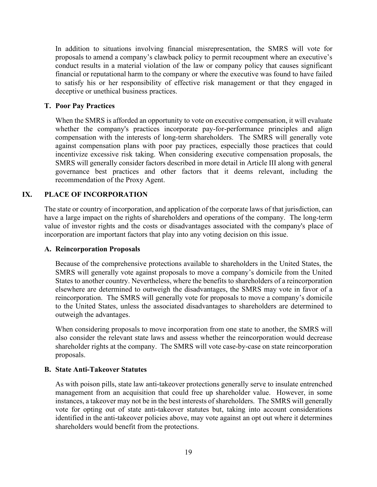In addition to situations involving financial misrepresentation, the SMRS will vote for proposals to amend a company's clawback policy to permit recoupment where an executive's conduct results in a material violation of the law or company policy that causes significant financial or reputational harm to the company or where the executive was found to have failed to satisfy his or her responsibility of effective risk management or that they engaged in deceptive or unethical business practices.

#### **T. Poor Pay Practices**

When the SMRS is afforded an opportunity to vote on executive compensation, it will evaluate whether the company's practices incorporate pay-for-performance principles and align compensation with the interests of long-term shareholders. The SMRS will generally vote against compensation plans with poor pay practices, especially those practices that could incentivize excessive risk taking. When considering executive compensation proposals, the SMRS will generally consider factors described in more detail in Article III along with general governance best practices and other factors that it deems relevant, including the recommendation of the Proxy Agent.

#### **IX. PLACE OF INCORPORATION**

The state or country of incorporation, and application of the corporate laws of that jurisdiction, can have a large impact on the rights of shareholders and operations of the company. The long-term value of investor rights and the costs or disadvantages associated with the company's place of incorporation are important factors that play into any voting decision on this issue.

#### **A. Reincorporation Proposals**

Because of the comprehensive protections available to shareholders in the United States, the SMRS will generally vote against proposals to move a company's domicile from the United States to another country. Nevertheless, where the benefits to shareholders of a reincorporation elsewhere are determined to outweigh the disadvantages, the SMRS may vote in favor of a reincorporation. The SMRS will generally vote for proposals to move a company's domicile to the United States, unless the associated disadvantages to shareholders are determined to outweigh the advantages.

When considering proposals to move incorporation from one state to another, the SMRS will also consider the relevant state laws and assess whether the reincorporation would decrease shareholder rights at the company. The SMRS will vote case-by-case on state reincorporation proposals.

#### **B. State Anti-Takeover Statutes**

As with poison pills, state law anti-takeover protections generally serve to insulate entrenched management from an acquisition that could free up shareholder value. However, in some instances, a takeover may not be in the best interests of shareholders. The SMRS will generally vote for opting out of state anti-takeover statutes but, taking into account considerations identified in the anti-takeover policies above, may vote against an opt out where it determines shareholders would benefit from the protections.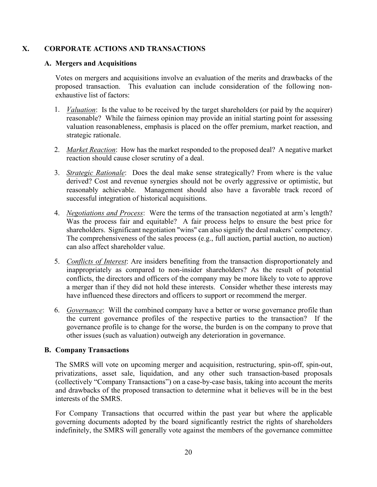# **X. CORPORATE ACTIONS AND TRANSACTIONS**

#### **A. Mergers and Acquisitions**

Votes on mergers and acquisitions involve an evaluation of the merits and drawbacks of the proposed transaction. This evaluation can include consideration of the following nonexhaustive list of factors:

- 1. *Valuation*: Is the value to be received by the target shareholders (or paid by the acquirer) reasonable? While the fairness opinion may provide an initial starting point for assessing valuation reasonableness, emphasis is placed on the offer premium, market reaction, and strategic rationale.
- 2. *Market Reaction*: How has the market responded to the proposed deal? A negative market reaction should cause closer scrutiny of a deal.
- 3. *Strategic Rationale*: Does the deal make sense strategically? From where is the value derived? Cost and revenue synergies should not be overly aggressive or optimistic, but reasonably achievable. Management should also have a favorable track record of successful integration of historical acquisitions.
- 4. *Negotiations and Process*: Were the terms of the transaction negotiated at arm's length? Was the process fair and equitable? A fair process helps to ensure the best price for shareholders. Significant negotiation "wins" can also signify the deal makers' competency. The comprehensiveness of the sales process (e.g., full auction, partial auction, no auction) can also affect shareholder value.
- 5. *Conflicts of Interest*: Are insiders benefiting from the transaction disproportionately and inappropriately as compared to non-insider shareholders? As the result of potential conflicts, the directors and officers of the company may be more likely to vote to approve a merger than if they did not hold these interests. Consider whether these interests may have influenced these directors and officers to support or recommend the merger.
- 6. *Governance*: Will the combined company have a better or worse governance profile than the current governance profiles of the respective parties to the transaction? If the governance profile is to change for the worse, the burden is on the company to prove that other issues (such as valuation) outweigh any deterioration in governance.

# **B. Company Transactions**

The SMRS will vote on upcoming merger and acquisition, restructuring, spin-off, spin-out, privatizations, asset sale, liquidation, and any other such transaction-based proposals (collectively "Company Transactions") on a case-by-case basis, taking into account the merits and drawbacks of the proposed transaction to determine what it believes will be in the best interests of the SMRS.

For Company Transactions that occurred within the past year but where the applicable governing documents adopted by the board significantly restrict the rights of shareholders indefinitely, the SMRS will generally vote against the members of the governance committee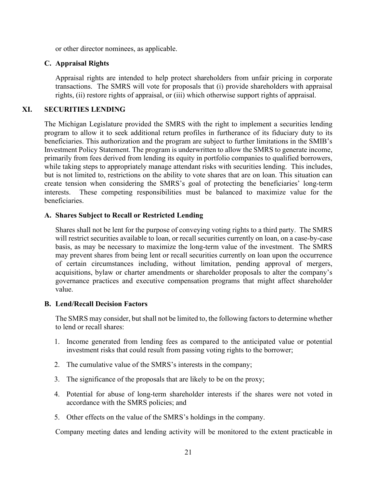or other director nominees, as applicable.

# **C. Appraisal Rights**

Appraisal rights are intended to help protect shareholders from unfair pricing in corporate transactions. The SMRS will vote for proposals that (i) provide shareholders with appraisal rights, (ii) restore rights of appraisal, or (iii) which otherwise support rights of appraisal.

# **XI. SECURITIES LENDING**

The Michigan Legislature provided the SMRS with the right to implement a securities lending program to allow it to seek additional return profiles in furtherance of its fiduciary duty to its beneficiaries. This authorization and the program are subject to further limitations in the SMIB's Investment Policy Statement. The program is underwritten to allow the SMRS to generate income, primarily from fees derived from lending its equity in portfolio companies to qualified borrowers, while taking steps to appropriately manage attendant risks with securities lending. This includes, but is not limited to, restrictions on the ability to vote shares that are on loan. This situation can create tension when considering the SMRS's goal of protecting the beneficiaries' long-term interests. These competing responsibilities must be balanced to maximize value for the beneficiaries.

#### **A. Shares Subject to Recall or Restricted Lending**

Shares shall not be lent for the purpose of conveying voting rights to a third party. The SMRS will restrict securities available to loan, or recall securities currently on loan, on a case-by-case basis, as may be necessary to maximize the long-term value of the investment. The SMRS may prevent shares from being lent or recall securities currently on loan upon the occurrence of certain circumstances including, without limitation, pending approval of mergers, acquisitions, bylaw or charter amendments or shareholder proposals to alter the company's governance practices and executive compensation programs that might affect shareholder value.

#### **B. Lend/Recall Decision Factors**

The SMRS may consider, but shall not be limited to, the following factors to determine whether to lend or recall shares:

- 1. Income generated from lending fees as compared to the anticipated value or potential investment risks that could result from passing voting rights to the borrower;
- 2. The cumulative value of the SMRS's interests in the company;
- 3. The significance of the proposals that are likely to be on the proxy;
- 4. Potential for abuse of long-term shareholder interests if the shares were not voted in accordance with the SMRS policies; and
- 5. Other effects on the value of the SMRS's holdings in the company.

Company meeting dates and lending activity will be monitored to the extent practicable in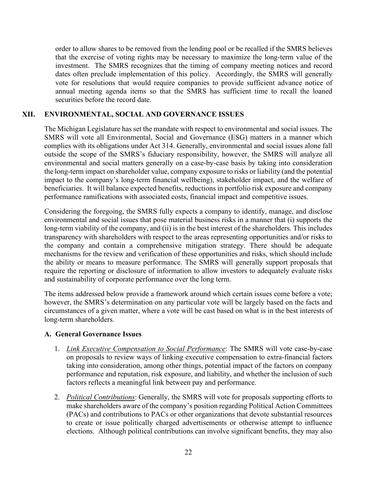order to allow shares to be removed from the lending pool or be recalled if the SMRS believes that the exercise of voting rights may be necessary to maximize the long-term value of the investment. The SMRS recognizes that the timing of company meeting notices and record dates often preclude implementation of this policy. Accordingly, the SMRS will generally vote for resolutions that would require companies to provide sufficient advance notice of annual meeting agenda items so that the SMRS has sufficient time to recall the loaned securities before the record date.

#### **XII. ENVIRONMENTAL, SOCIAL AND GOVERNANCE ISSUES**

The Michigan Legislature has set the mandate with respect to environmental and social issues. The SMRS will vote all Environmental, Social and Governance (ESG) matters in a manner which complies with its obligations under Act 314. Generally, environmental and social issues alone fall outside the scope of the SMRS's fiduciary responsibility, however, the SMRS will analyze all environmental and social matters generally on a case-by-case basis by taking into consideration the long-term impact on shareholder value, company exposure to risks or liability (and the potential impact to the company's long-term financial wellbeing), stakeholder impact, and the welfare of beneficiaries. It will balance expected benefits, reductions in portfolio risk exposure and company performance ramifications with associated costs, financial impact and competitive issues.

Considering the foregoing, the SMRS fully expects a company to identify, manage, and disclose environmental and social issues that pose material business risks in a manner that (i) supports the long-term viability of the company, and (ii) is in the best interest of the shareholders. This includes transparency with shareholders with respect to the areas representing opportunities and/or risks to the company and contain a comprehensive mitigation strategy. There should be adequate mechanisms for the review and verification of these opportunities and risks, which should include the ability or means to measure performance. The SMRS will generally support proposals that require the reporting or disclosure of information to allow investors to adequately evaluate risks and sustainability of corporate performance over the long term.

The items addressed below provide a framework around which certain issues come before a vote; however, the SMRS's determination on any particular vote will be largely based on the facts and circumstances of a given matter, where a vote will be cast based on what is in the best interests of long-term shareholders.

#### **A. General Governance Issues**

- 1. *Link Executive Compensation to Social Performance*: The SMRS will vote case-by-case on proposals to review ways of linking executive compensation to extra-financial factors taking into consideration, among other things, potential impact of the factors on company performance and reputation, risk exposure, and liability, and whether the inclusion of such factors reflects a meaningful link between pay and performance.
- 2. *Political Contributions*: Generally, the SMRS will vote for proposals supporting efforts to make shareholders aware of the company's position regarding Political Action Committees (PACs) and contributions to PACs or other organizations that devote substantial resources to create or issue politically charged advertisements or otherwise attempt to influence elections. Although political contributions can involve significant benefits, they may also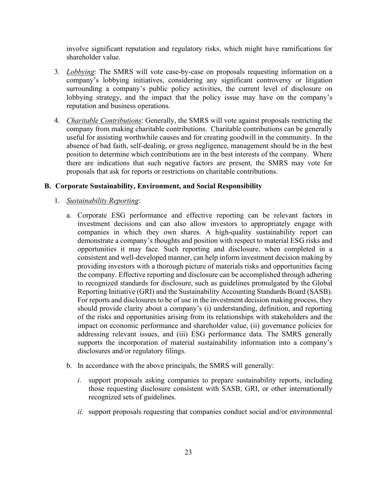involve significant reputation and regulatory risks, which might have ramifications for shareholder value.

- 3. *Lobbying*: The SMRS will vote case-by-case on proposals requesting information on a company's lobbying initiatives, considering any significant controversy or litigation surrounding a company's public policy activities, the current level of disclosure on lobbying strategy, and the impact that the policy issue may have on the company's reputation and business operations.
- 4. *Charitable Contributions*: Generally, the SMRS will vote against proposals restricting the company from making charitable contributions. Charitable contributions can be generally useful for assisting worthwhile causes and for creating goodwill in the community. In the absence of bad faith, self-dealing, or gross negligence, management should be in the best position to determine which contributions are in the best interests of the company. Where there are indications that such negative factors are present, the SMRS may vote for proposals that ask for reports or restrictions on charitable contributions.

# **B. Corporate Sustainability, Environment, and Social Responsibility**

- 1. *Sustainability Reporting*:
	- a. Corporate ESG performance and effective reporting can be relevant factors in investment decisions and can also allow investors to appropriately engage with companies in which they own shares. A high-quality sustainability report can demonstrate a company's thoughts and position with respect to material ESG risks and opportunities it may face. Such reporting and disclosure, when completed in a consistent and well-developed manner, can help inform investment decision making by providing investors with a thorough picture of materials risks and opportunities facing the company. Effective reporting and disclosure can be accomplished through adhering to recognized standards for disclosure, such as guidelines promulgated by the Global Reporting Initiative (GRI) and the Sustainability Accounting Standards Board (SASB). For reports and disclosures to be of use in the investment decision making process, they should provide clarity about a company's (i) understanding, definition, and reporting of the risks and opportunities arising from its relationships with stakeholders and the impact on economic performance and shareholder value, (ii) governance policies for addressing relevant issues, and (iii) ESG performance data. The SMRS generally supports the incorporation of material sustainability information into a company's disclosures and/or regulatory filings.
	- b. In accordance with the above principals, the SMRS will generally:
		- *i.* support proposals asking companies to prepare sustainability reports, including those requesting disclosure consistent with SASB, GRI, or other internationally recognized sets of guidelines.
		- *ii.* support proposals requesting that companies conduct social and/or environmental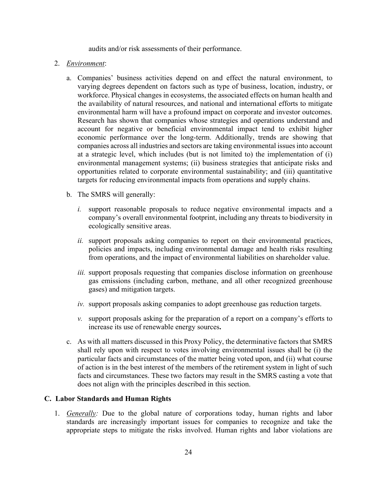audits and/or risk assessments of their performance.

#### 2. *Environment*:

- a. Companies' business activities depend on and effect the natural environment, to varying degrees dependent on factors such as type of business, location, industry, or workforce. Physical changes in ecosystems, the associated effects on human health and the availability of natural resources, and national and international efforts to mitigate environmental harm will have a profound impact on corporate and investor outcomes. Research has shown that companies whose strategies and operations understand and account for negative or beneficial environmental impact tend to exhibit higher economic performance over the long-term. Additionally, trends are showing that companies across all industries and sectors are taking environmental issues into account at a strategic level, which includes (but is not limited to) the implementation of (i) environmental management systems; (ii) business strategies that anticipate risks and opportunities related to corporate environmental sustainability; and (iii) quantitative targets for reducing environmental impacts from operations and supply chains.
- b. The SMRS will generally:
	- *i.* support reasonable proposals to reduce negative environmental impacts and a company's overall environmental footprint, including any threats to biodiversity in ecologically sensitive areas.
	- *ii.* support proposals asking companies to report on their environmental practices, policies and impacts, including environmental damage and health risks resulting from operations, and the impact of environmental liabilities on shareholder value.
	- *iii.* support proposals requesting that companies disclose information on greenhouse gas emissions (including carbon, methane, and all other recognized greenhouse gases) and mitigation targets.
	- *iv.* support proposals asking companies to adopt greenhouse gas reduction targets.
	- *v.* support proposals asking for the preparation of a report on a company's efforts to increase its use of renewable energy sources**.**
- c. As with all matters discussed in this Proxy Policy, the determinative factors that SMRS shall rely upon with respect to votes involving environmental issues shall be (i) the particular facts and circumstances of the matter being voted upon, and (ii) what course of action is in the best interest of the members of the retirement system in light of such facts and circumstances. These two factors may result in the SMRS casting a vote that does not align with the principles described in this section.

# **C. Labor Standards and Human Rights**

1. *Generally:* Due to the global nature of corporations today, human rights and labor standards are increasingly important issues for companies to recognize and take the appropriate steps to mitigate the risks involved. Human rights and labor violations are